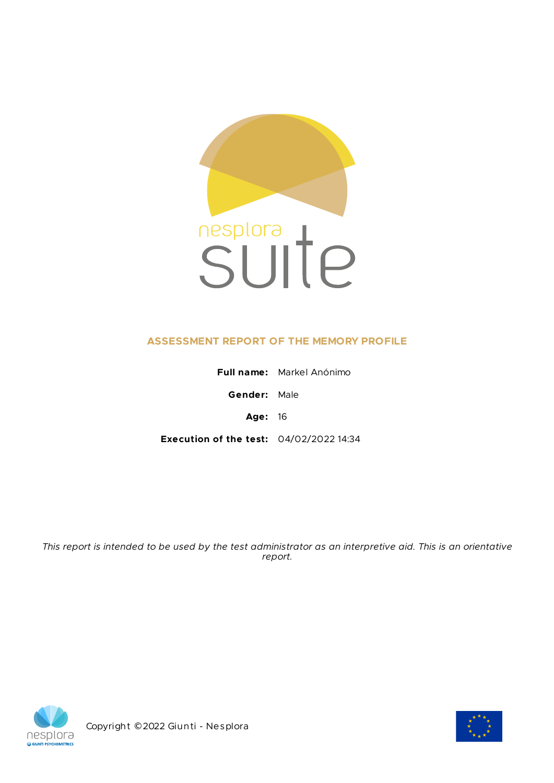

# **ASSESSMENT REPORT OF THE MEMORY PROFILE**

|                                                | <b>Full name:</b> Markel Anónimo |
|------------------------------------------------|----------------------------------|
| <b>Gender:</b> Male                            |                                  |
| <b>Age: 16</b>                                 |                                  |
| <b>Execution of the test: 04/02/2022 14:34</b> |                                  |

This report is intended to be used by the test administrator as an interpretive aid. This is an orientative *report.*



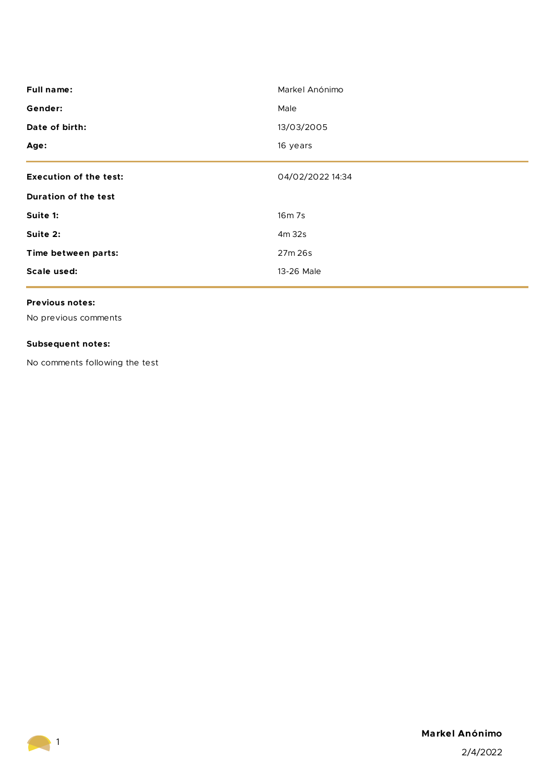| <b>Full name:</b>             | Markel Anónimo   |
|-------------------------------|------------------|
| Gender:                       | Male             |
| Date of birth:                | 13/03/2005       |
| Age:                          | 16 years         |
| <b>Execution of the test:</b> | 04/02/2022 14:34 |
| <b>Duration of the test</b>   |                  |
| Suite 1:                      | 16m 7s           |
| Suite 2:                      | 4m 32s           |
| Time between parts:           | 27m 26s          |
| Scale used:                   | 13-26 Male       |
|                               |                  |

# **Previous notes:**

No previous comments

# **Subsequent notes:**

No comments following the test



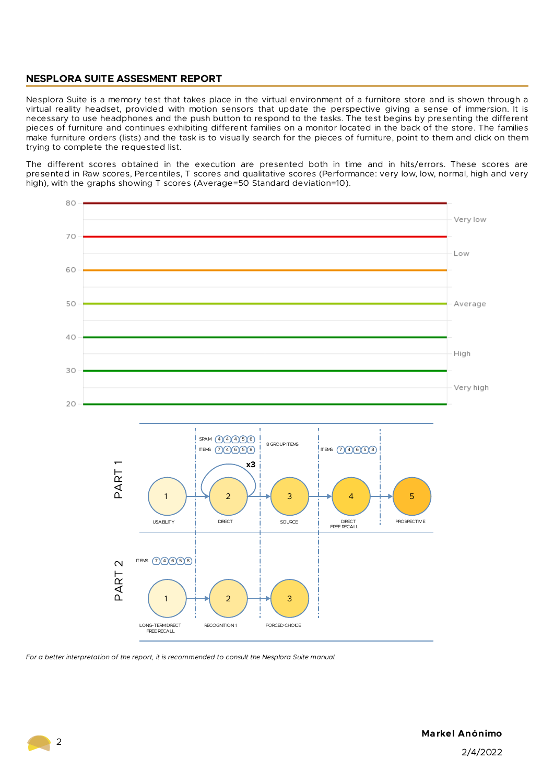# **NESPLORA SUITE ASSESMENT REPORT**

Nesplora Suite is a memory test that takes place in the virtual environment of a furnitore store and is shown through a virtual reality headset, provided with motion sensors that update the perspective giving a sense of immersion. It is necessary to use headphones and the push button to respond to the tasks. The test begins by presenting the different pieces of furniture and continues exhibiting different families on a monitor located in the back of the store. The families make furniture orders (lists) and the task is to visually search for the pieces of furniture, point to them and click on them trying to complete the requested list.

The different scores obtained in the execution are presented both in time and in hits/errors. These scores are presented in Raw scores, Percentiles, T scores and qualitative scores (Performance: very low, low, normal, high and very high), with the graphs showing T scores (Average=50 Standard deviation=10).



*For a better interpretation of the report, it is recommended to consult the Nesplora Suite manual.*

 $\sqrt{2}$ 

2/4/2022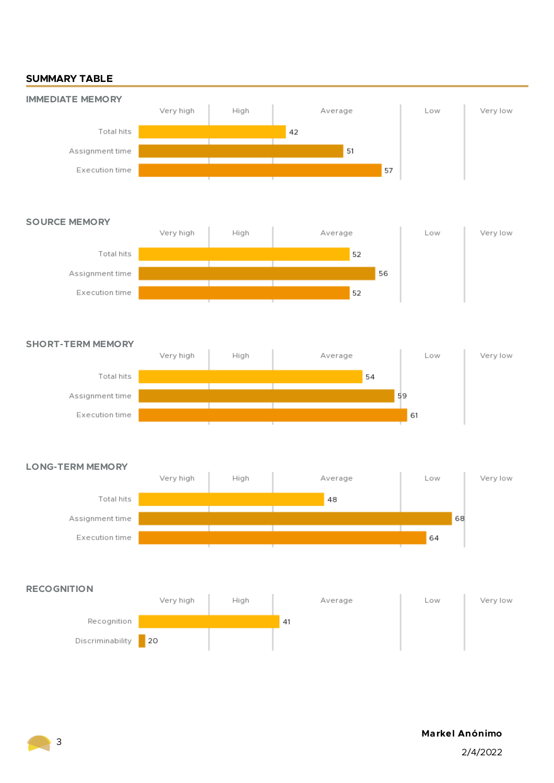# **SUMMARY TABLE**



### **SOURCE MEMORY**



## **SHORT-TERM MEMORY**



#### **LONG-TERM MEMORY**





# **Markel Anónimo**

2/4/2022

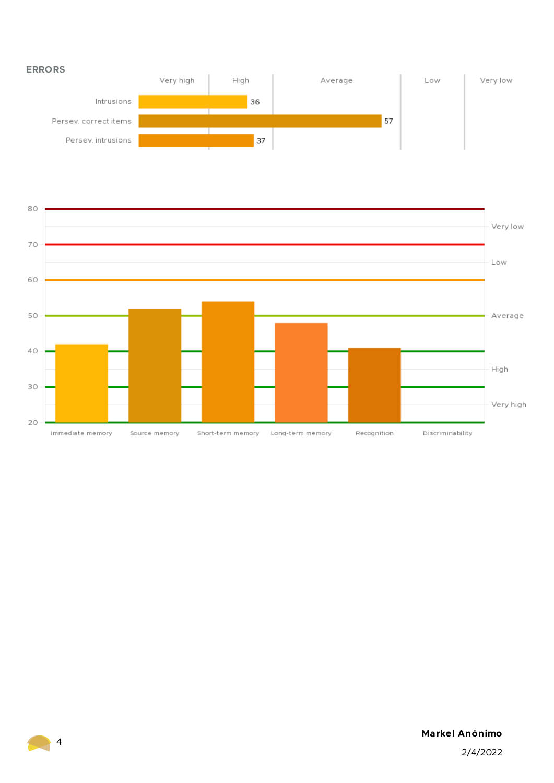



# **Markel Anónimo**

2/4/2022

4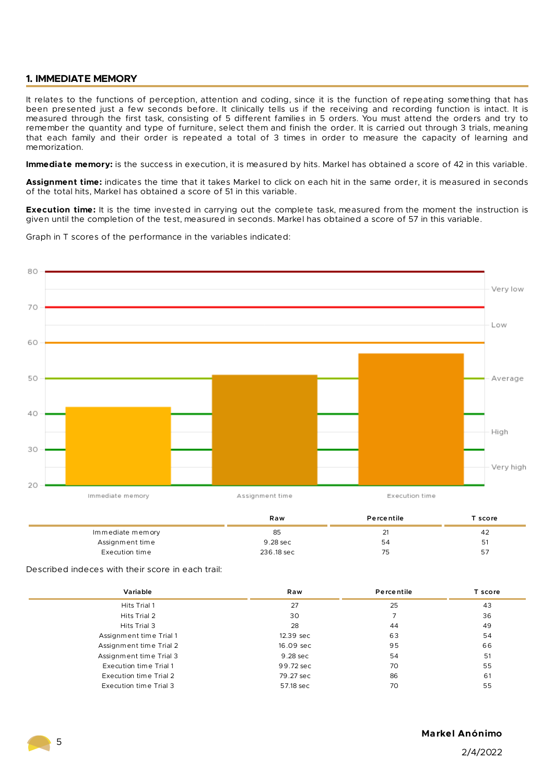## **1. IMMEDIATE MEMORY**

It relates to the functions of perception, attention and coding, since it is the function of repeating something that has been presented just a few seconds before. It clinically tells us if the receiving and recording function is intact. It is measured through the first task, consisting of 5 different families in 5 orders. You must attend the orders and try to remember the quantity and type of furniture, select them and finish the order. It is carried out through 3 trials, meaning that each family and their order is repeated a total of 3 times in order to measure the capacity of learning and memorization.

**Immediate memory:** is the success in execution, it is measured by hits. Markel has obtained a score of 42 in this variable.

**Assignment time:** indicates the time that it takes Markel to click on each hit in the same order, it is measured in seconds of the total hits, Markel has obtained a score of 51 in this variable.

**Execution time:** It is the time invested in carrying out the complete task, measured from the moment the instruction is given until the completion of the test, measured in seconds. Markel has obtained a score of 57 in this variable.

Graph in T scores of the performance in the variables indicated:



|                  | Raw        | Percentile | Tscore |
|------------------|------------|------------|--------|
| Immediate memory | 85         |            | -42    |
| Assignment time  | 9.28 sec   | 54         | 51     |
| Execution time   | 236.18 sec | 75         | 57     |

Described indeces with their score in each trail:

| Variable                | Raw       | Percentile | T score |
|-------------------------|-----------|------------|---------|
| Hits Trial 1            | 27        | 25         | 43      |
| Hits Trial 2            | 30        |            | 36      |
| Hits Trial 3            | 28        | 44         | 49      |
| Assignment time Trial 1 | 12.39 sec | 63         | 54      |
| Assignment time Trial 2 | 16.09 sec | 95         | 66      |
| Assignment time Trial 3 | 9.28 sec  | 54         | 51      |
| Execution time Trial 1  | 99.72 sec | 70         | 55      |
| Execution time Trial 2  | 79.27 sec | 86         | 61      |
| Execution time Trial 3  | 57.18 sec | 70         | 55      |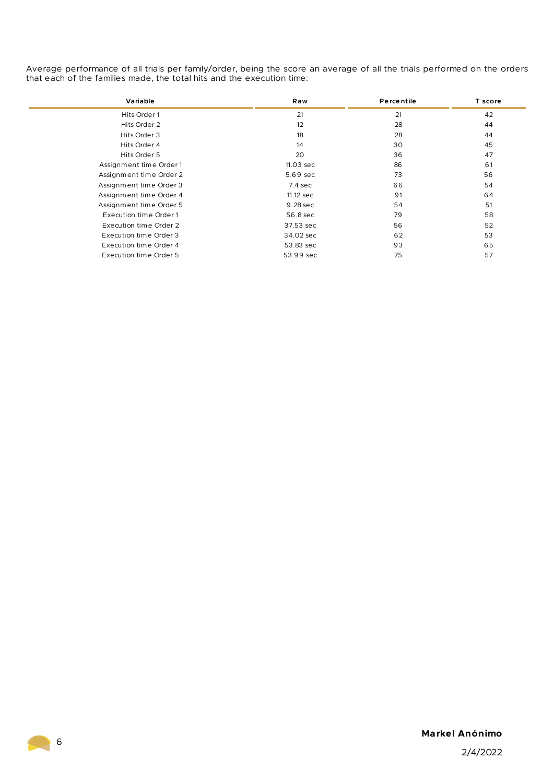Average performance of all trials per family/order, being the score an average of all the trials performed on the orders that each of the families made, the total hits and the execution time:

| Variable                | Raw       | Percentile | T score |
|-------------------------|-----------|------------|---------|
| Hits Order 1            | 21        | 21         | 42      |
| Hits Order 2            | 12        | 28         | 44      |
| Hits Order 3            | 18        | 28         | 44      |
| Hits Order 4            | 14        | 30         | 45      |
| Hits Order 5            | 20        | 36         | 47      |
| Assignment time Order 1 | 11.03 sec | 86         | 61      |
| Assignment time Order 2 | 5.69 sec  | 73         | 56      |
| Assignment time Order 3 | 7.4 sec   | 66         | 54      |
| Assignment time Order 4 | 11.12 sec | 91         | 64      |
| Assignment time Order 5 | 9.28 sec  | 54         | 51      |
| Execution time Order 1  | 56.8 sec  | 79         | 58      |
| Execution time Order 2  | 37.53 sec | 56         | 52      |
| Execution time Order 3  | 34.02 sec | 62         | 53      |
| Execution time Order 4  | 53.83 sec | 93         | 65      |
| Execution time Order 5  | 53.99 sec | 75         | 57      |

# **Markel Anónimo**

2/4/2022

6

**College**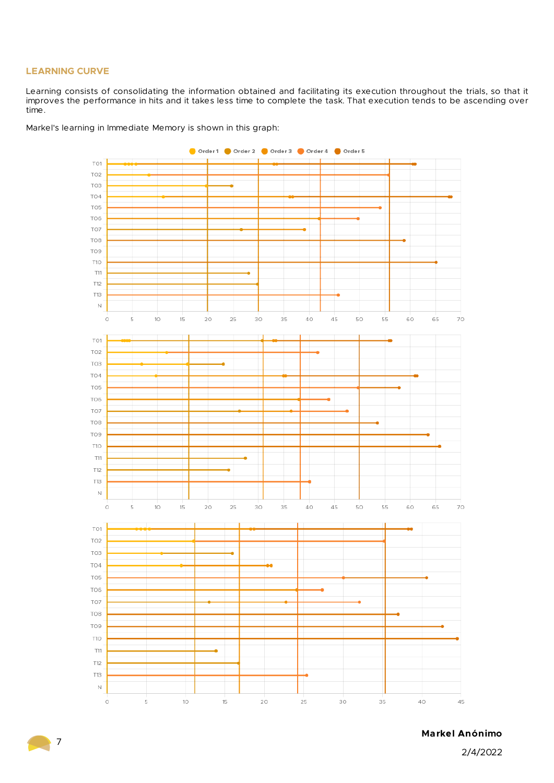## **LEARNING CURVE**

7

Learning consists of consolidating the information obtained and facilitating its execution throughout the trials, so that it improves the performance in hits and it takes less time to complete the task. That execution tends to be ascending over time.

Markel's learning in Immediate Memory is shown in this graph:



**Markel Anónimo**

2/4/2022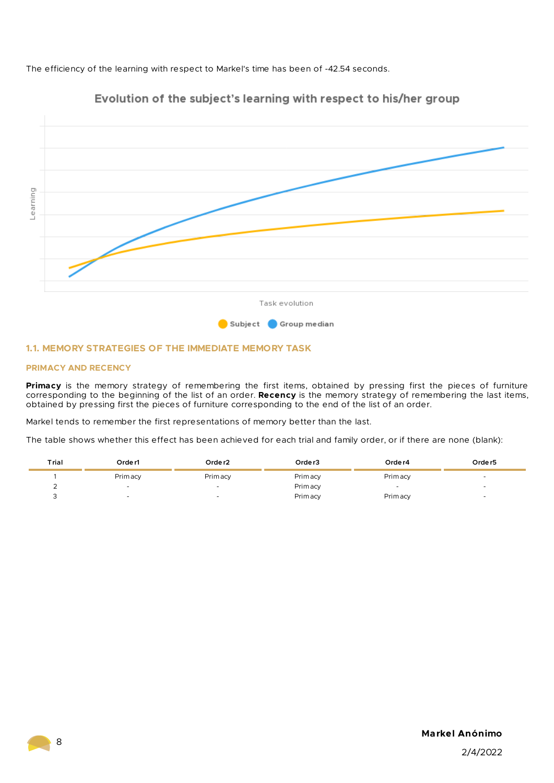The efficiency of the learning with respect to Markel's time has been of -42.54 seconds.



# Evolution of the subject's learning with respect to his/her group

#### **1.1. MEMORY STRATEGIES OF THE IMMEDIATE MEMORY TASK**

#### **PRIMACY AND RECENCY**

**Primacy** is the memory strategy of remembering the first items, obtained by pressing first the pieces of furniture corresponding to the beginning of the list of an order. **Recency** is the memory strategy of remembering the last items, obtained by pressing first the pieces of furniture corresponding to the end of the list of an order.

Markel tends to remember the first representations of memory better than the last.

The table shows whether this effect has been achieved for each trial and family order, or if there are none (blank):

| Trial | Orde r1  | Orde r2                  | Order <sub>3</sub> | Orde r4                  | Order <sub>5</sub>       |
|-------|----------|--------------------------|--------------------|--------------------------|--------------------------|
|       | Prim acy | Primacy                  | Prim acy           | Primacy                  |                          |
|       |          | $\overline{\phantom{0}}$ | Prim acy           | $\overline{\phantom{0}}$ | $\overline{\phantom{a}}$ |
|       |          | $\overline{\phantom{a}}$ | Prim acy           | <b>Primacy</b>           |                          |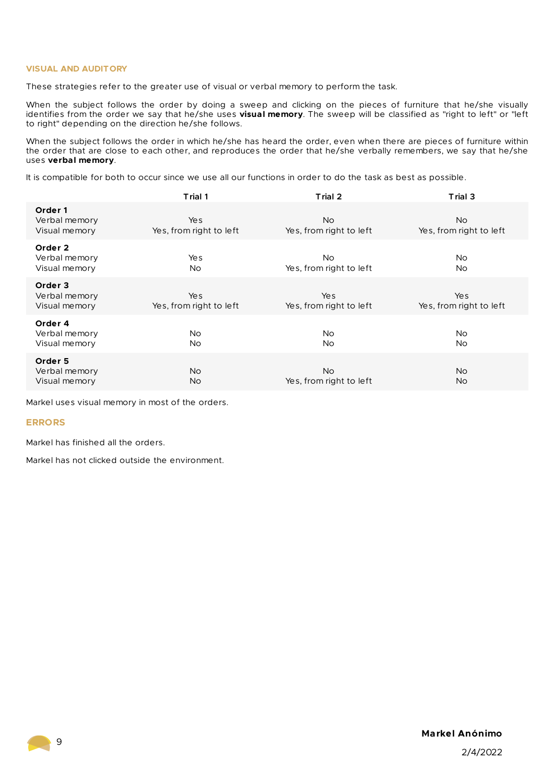### **VISUAL AND AUDITORY**

These strategies refer to the greater use of visual or verbal memory to perform the task.

When the subject follows the order by doing a sweep and clicking on the pieces of furniture that he/she visually identifies from the order we say that he/she uses **visual memory**. The sweep will be classified as "right to left" or "left to right" depending on the direction he/she follows.

When the subject follows the order in which he/she has heard the order, even when there are pieces of furniture within the order that are close to each other, and reproduces the order that he/she verbally remembers, we say that he/she uses **verbal memory**.

It is compatible for both to occur since we use all our functions in order to do the task as best as possible.

|                                           | Trial 1                        | Trial 2                              | Trial 3                        |
|-------------------------------------------|--------------------------------|--------------------------------------|--------------------------------|
| Order 1<br>Verbal memory<br>Visual memory | Yes<br>Yes, from right to left | <b>No</b><br>Yes, from right to left | No.<br>Yes, from right to left |
| Order 2<br>Verbal memory<br>Visual memory | Yes<br>N <sub>o</sub>          | No.<br>Yes, from right to left       | No.<br>No.                     |
| Order 3<br>Verbal memory<br>Visual memory | Yes<br>Yes, from right to left | Yes<br>Yes, from right to left       | Yes<br>Yes, from right to left |
| Order 4<br>Verbal memory<br>Visual memory | No.<br>N <sub>o</sub>          | No.<br>No.                           | No.<br><b>No</b>               |
| Order 5<br>Verbal memory<br>Visual memory | No.<br>No.                     | <b>No</b><br>Yes, from right to left | No.<br><b>No</b>               |

Markel uses visual memory in most of the orders.

#### **ERRORS**

Markel has finished all the orders.

Markel has not clicked outside the environment.

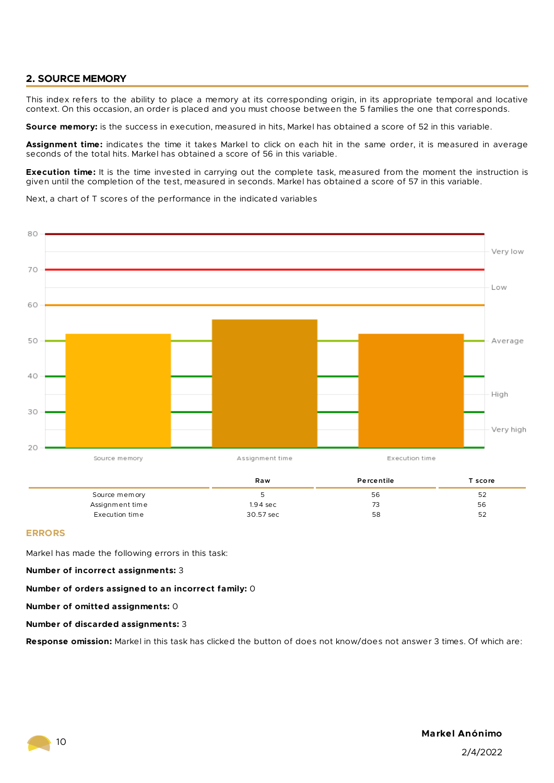# **2. SOURCE MEMORY**

This index refers to the ability to place a memory at its corresponding origin, in its appropriate temporal and locative context. On this occasion, an order is placed and you must choose between the 5 families the one that corresponds.

**Source memory:** is the success in execution, measured in hits, Markel has obtained a score of 52 in this variable.

**Assignment time:** indicates the time it takes Markel to click on each hit in the same order, it is measured in average seconds of the total hits. Markel has obtained a score of 56 in this variable.

**Execution time:** It is the time invested in carrying out the complete task, measured from the moment the instruction is given until the completion of the test, measured in seconds. Markel has obtained a score of 57 in this variable.

Next, a chart of T scores of the performance in the indicated variables



|                 | Raw        | <b>Percentile</b> | T score |
|-----------------|------------|-------------------|---------|
| Source memory   |            | 56                | 52      |
| Assignment time | $1.94$ sec | 73                | 56      |
| Execution time  | 30.57 sec  | 58                | 52      |

#### **ERRORS**

Markel has made the following errors in this task:

#### **Number of incorrect assignments:** 3

**Number of orders assigned to an incorrect family:** 0

**Number of omitted assignments:** 0

#### **Number of discarded assignments:** 3

**Response omission:** Markel in this task has clicked the button of does not know/does not answer 3 times. Of which are: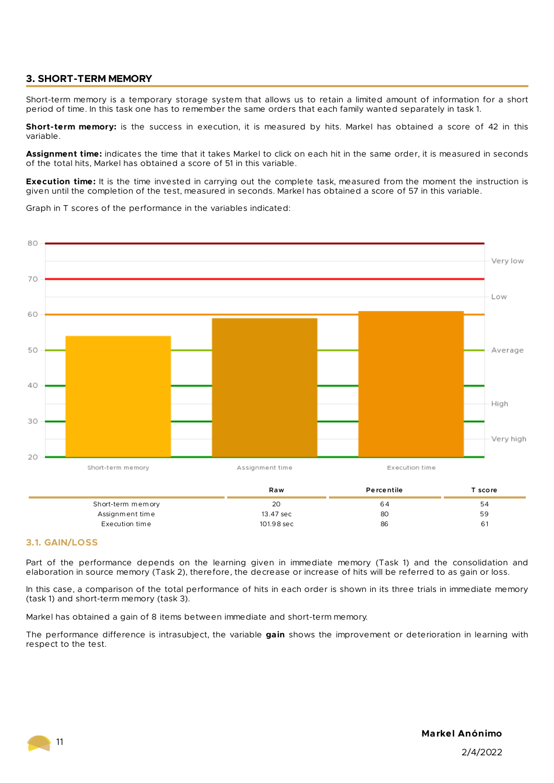# **3. SHORT-TERM MEMORY**

Short-term memory is a temporary storage system that allows us to retain a limited amount of information for a short period of time. In this task one has to remember the same orders that each family wanted separately in task 1.

**Short-term memory:** is the success in execution, it is measured by hits. Markel has obtained a score of 42 in this variable.

**Assignment time:** indicates the time that it takes Markel to click on each hit in the same order, it is measured in seconds of the total hits, Markel has obtained a score of 51 in this variable.

**Execution time:** It is the time invested in carrying out the complete task, measured from the moment the instruction is given until the completion of the test, measured in seconds. Markel has obtained a score of 57 in this variable.

Graph in T scores of the performance in the variables indicated:



|                   | Raw        | Percentile | score i |
|-------------------|------------|------------|---------|
| Short-term memory | 20         | 64         | 54      |
| Assignment time   | 13.47 sec  | 80         | 59      |
| Execution time    | 101.98 sec | 86         | 61      |

### **3.1. GAIN/LOSS**

Part of the performance depends on the learning given in immediate memory (Task 1) and the consolidation and elaboration in source memory (Task 2), therefore, the decrease or increase of hits will be referred to as gain or loss.

In this case, a comparison of the total performance of hits in each order is shown in its three trials in immediate memory (task 1) and short-term memory (task 3).

Markel has obtained a gain of 8 items between immediate and short-term memory.

The performance difference is intrasubject, the variable **gain** shows the improvement or deterioration in learning with respect to the test.

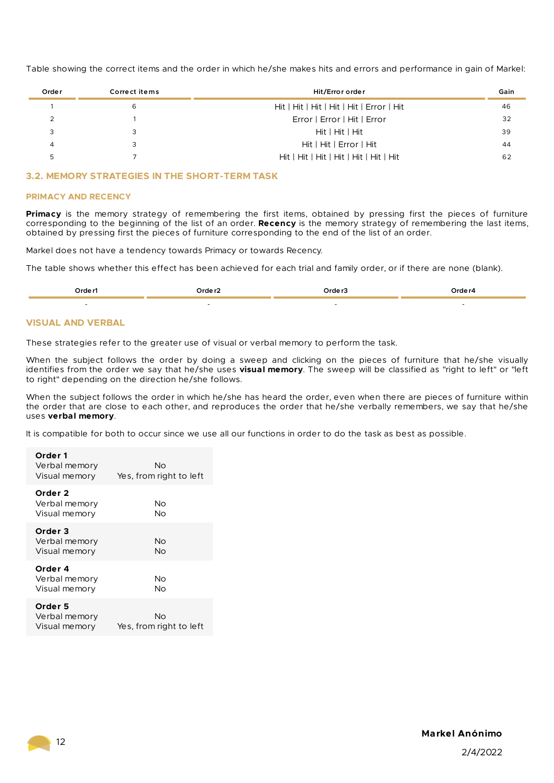Table showing the correct items and the order in which he/she makes hits and errors and performance in gain of Markel:

| Orde r | Correct items | Hit/Error order                           | Gain |
|--------|---------------|-------------------------------------------|------|
|        | 6             | Hit   Hit   Hit   Hit   Hit   Error   Hit | 46   |
|        |               | Error   Error   Hit   Error               | 32   |
|        |               | Hit   Hit   Hit                           | 39   |
| 4      |               | Hit   Hit   Error   Hit                   | 44   |
|        |               | Hit   Hit   Hit   Hit   Hit   Hit   Hit   | 62   |

### **3.2. MEMORY STRATEGIES IN THE SHORT-TERM TASK**

#### **PRIMACY AND RECENCY**

**Primacy** is the memory strategy of remembering the first items, obtained by pressing first the pieces of furniture corresponding to the beginning of the list of an order. **Recency** is the memory strategy of remembering the last items, obtained by pressing first the pieces of furniture corresponding to the end of the list of an order.

Markel does not have a tendency towards Primacy or towards Recency.

The table shows whether this effect has been achieved for each trial and family order, or if there are none (blank).

| ∩rde r1 | `~~ | าrd≙ r | יים הואיר |
|---------|-----|--------|-----------|
|         | .   | .      |           |
|         |     |        |           |

#### **VISUAL AND VERBAL**

These strategies refer to the greater use of visual or verbal memory to perform the task.

When the subject follows the order by doing a sweep and clicking on the pieces of furniture that he/she visually identifies from the order we say that he/she uses **visual memory**. The sweep will be classified as "right to left" or "left to right" depending on the direction he/she follows.

When the subject follows the order in which he/she has heard the order, even when there are pieces of furniture within the order that are close to each other, and reproduces the order that he/she verbally remembers, we say that he/she uses **verbal memory**.

It is compatible for both to occur since we use all our functions in order to do the task as best as possible.

| Order 1<br>Verbal memory<br>Visual memory | Nο<br>Yes, from right to left |
|-------------------------------------------|-------------------------------|
| Order 2<br>Verbal memory<br>Visual memory | Nο<br>Nο                      |
| Order 3<br>Verbal memory<br>Visual memory | Νo<br>Nο                      |
| Order 4<br>Verbal memory<br>Visual memory | Nο<br>Nο                      |
| Order 5<br>Verbal memory<br>Visual memory | Nο<br>Yes, from right to left |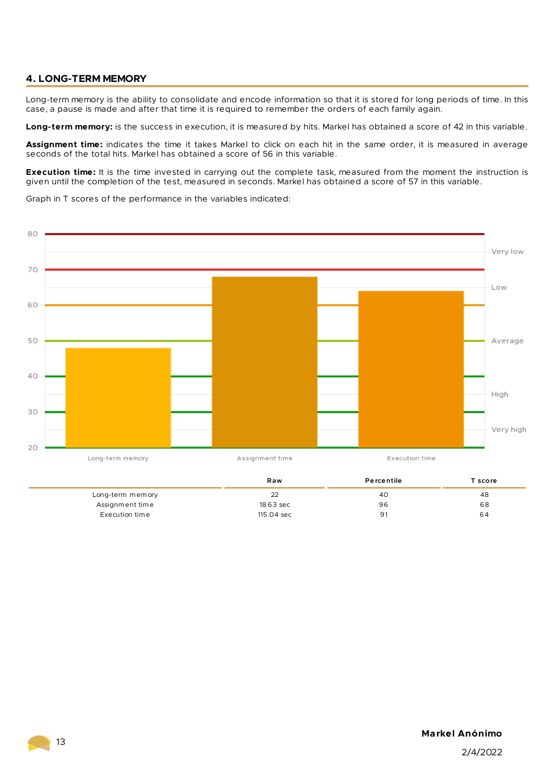# **4. LONG-TERM MEMORY**

Long-term memory is the ability to consolidate and encode information so that it is stored for long periods of time. In this case, a pause is made and after that time it is required to remember the orders of each family again.

**Long-term memory:** is the success in execution, it is measured by hits. Markel has obtained a score of 42 in this variable.

**Assignment time:** indicates the time it takes Markel to click on each hit in the same order, it is measured in average seconds of the total hits. Markel has obtained a score of 56 in this variable.

**Execution time:** It is the time invested in carrying out the complete task, measured from the moment the instruction is given until the completion of the test, measured in seconds. Markel has obtained a score of 57 in this variable.

Graph in T scores of the performance in the variables indicated:



|                  | Raw        | Percentile | score |
|------------------|------------|------------|-------|
| Long-term memory | 22         | 4C         | 48    |
| Assignment time  | 18.63 sec  | 96         | 68    |
| Execution time   | 115.04 sec | 91         | 64    |

# **Markel Anónimo**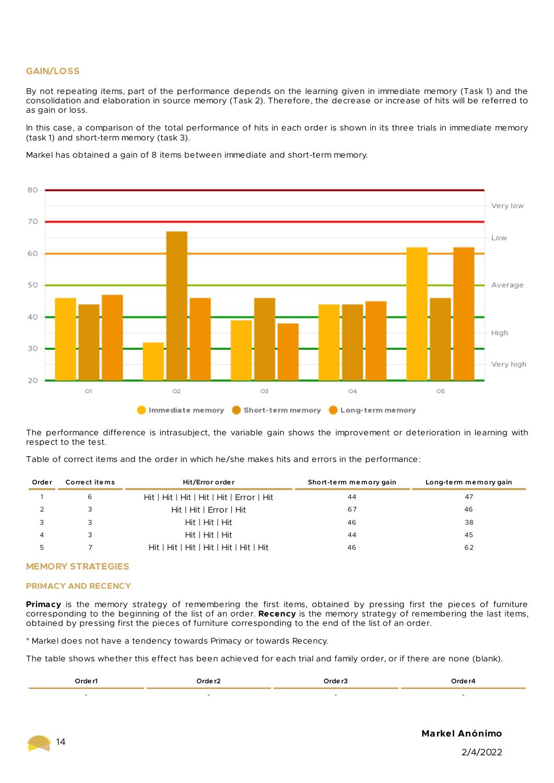#### **GAIN/LOSS**

By not repeating items, part of the performance depends on the learning given in immediate memory (Task 1) and the consolidation and elaboration in source memory (Task 2). Therefore, the decrease or increase of hits will be referred to as gain or loss.

In this case, a comparison of the total performance of hits in each order is shown in its three trials in immediate memory (task 1) and short-term memory (task 3).

Markel has obtained a gain of 8 items between immediate and short-term memory.



The performance difference is intrasubject, the variable gain shows the improvement or deterioration in learning with respect to the test.

Table of correct items and the order in which he/she makes hits and errors in the performance:

| Orde r | Correct items | Hit/Error order                           | Short-term memory gain | Long-term memory gain |
|--------|---------------|-------------------------------------------|------------------------|-----------------------|
|        | 6             | Hit   Hit   Hit   Hit   Hit   Error   Hit | 44                     | 47                    |
|        |               | Hit   Hit   Error   Hit                   | 67                     | 46                    |
|        |               | Hit   Hit   Hit                           | 46                     | 38                    |
|        | 3             | Hit   Hit   Hit                           | 44                     | 45                    |
|        |               | Hit   Hit   Hit   Hit   Hit   Hit   Hit   | 46                     | 62                    |

#### **MEMORY STRATEGIES**

#### **PRIMACY AND RECENCY**

**Primacy** is the memory strategy of remembering the first items, obtained by pressing first the pieces of furniture corresponding to the beginning of the list of an order. **Recency** is the memory strategy of remembering the last items, obtained by pressing first the pieces of furniture corresponding to the end of the list of an order.

\* Markel does not have a tendency towards Primacy or towards Recency.

The table shows whether this effect has been achieved for each trial and family order, or if there are none (blank).

| Orde r1 | ∩rde∽ | ∩rde r | י הוזיר |
|---------|-------|--------|---------|
|         |       |        |         |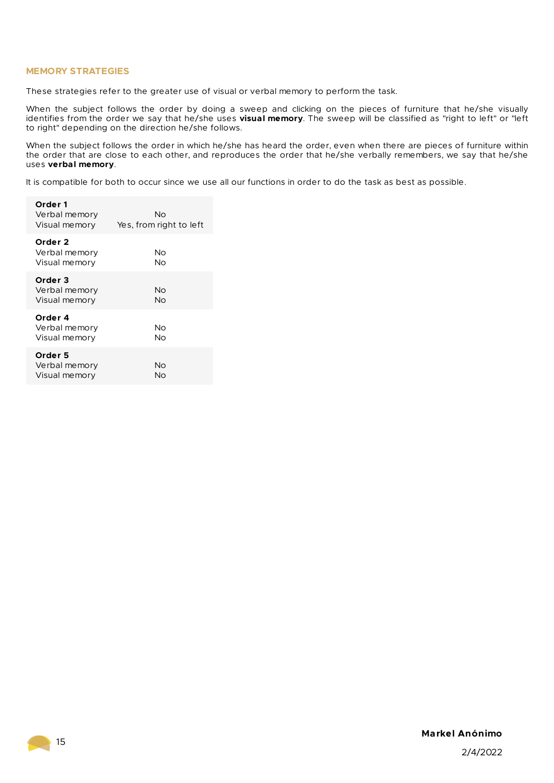#### **MEMORY STRATEGIES**

These strategies refer to the greater use of visual or verbal memory to perform the task.

When the subject follows the order by doing a sweep and clicking on the pieces of furniture that he/she visually identifies from the order we say that he/she uses **visual memory**. The sweep will be classified as "right to left" or "left to right" depending on the direction he/she follows.

When the subject follows the order in which he/she has heard the order, even when there are pieces of furniture within the order that are close to each other, and reproduces the order that he/she verbally remembers, we say that he/she uses **verbal memory**.

It is compatible for both to occur since we use all our functions in order to do the task as best as possible.

| Order 1<br>Verbal memory<br>Visual memory            | Nο<br>Yes, from right to left |
|------------------------------------------------------|-------------------------------|
| Order 2<br>Verbal memory<br>Visual memory            | Νo<br>No                      |
| Order 3<br>Verbal memory<br>Visual memory            | Nο<br>Nο                      |
| Order <sub>4</sub><br>Verbal memory<br>Visual memory | Nο<br>Nο                      |
| Order 5<br>Verbal memory<br>Visual memory            | Nο<br>Nο                      |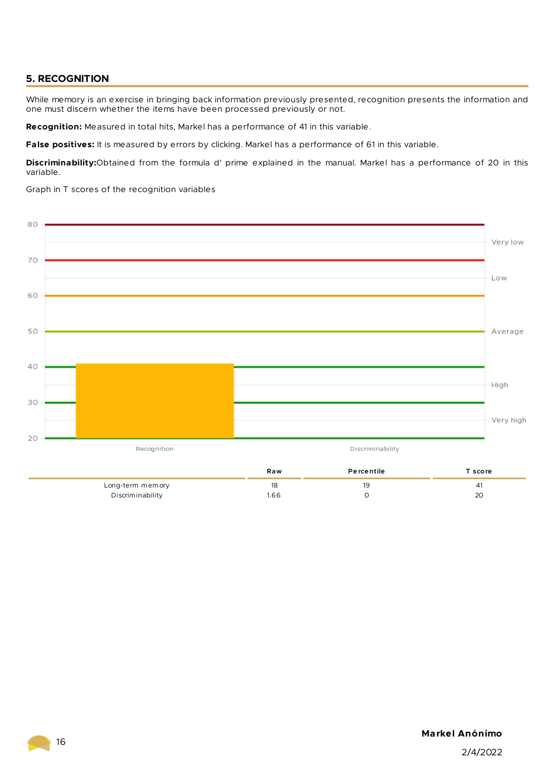# **5. RECOGNITION**

While memory is an exercise in bringing back information previously presented, recognition presents the information and one must discern whether the items have been processed previously or not.

**Recognition:** Measured in total hits, Markel has a performance of 41 in this variable.

**False positives:** It is measured by errors by clicking. Markel has a performance of 61 in this variable.

**Discriminability:**Obtained from the formula d' prime explained in the manual. Markel has a performance of 20 in this variable.

Graph in T scores of the recognition variables



**Markel Anónimo**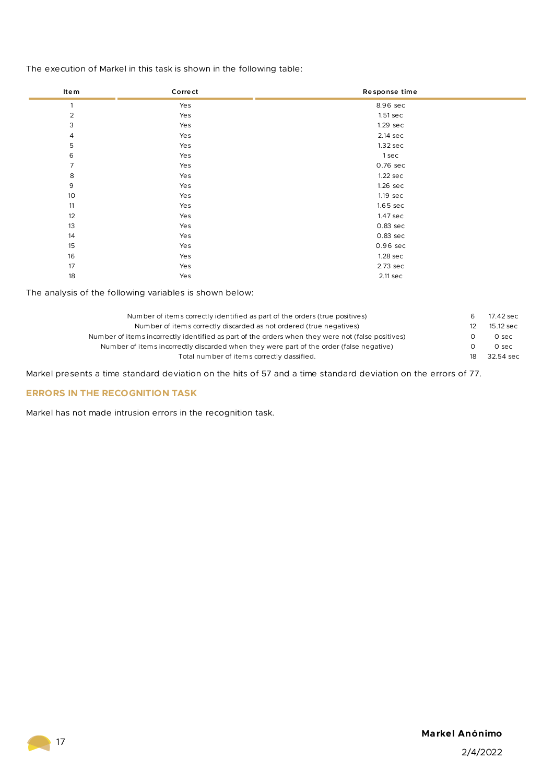The execution of Markel in this task is shown in the following table:

| Item            | Corre ct | Response time      |
|-----------------|----------|--------------------|
| $\mathbf{1}$    | Yes      | 8.96 sec           |
| $\overline{2}$  | Yes      | 1.51 sec           |
| 3               | Yes      | 1.29 sec           |
| 4               | Yes      | 2.14 sec           |
| 5               | Yes      | 1.32 sec           |
| 6               | Yes      | 1 sec              |
| $\overline{7}$  | Yes      | 0.76 sec           |
| $\,8\,$         | Yes      | $1.22$ sec         |
| 9               | Yes      | 1.26 sec           |
| 10 <sup>°</sup> | Yes      | $1.19 \text{ sec}$ |
| 11              | Yes      | $1.65$ sec         |
| 12              | Yes      | 1.47 sec           |
| 13              | Yes      | 0.83 sec           |
| 14              | Yes      | $0.83$ sec         |
| 15              | Yes      | 0.96 sec           |
| 16              | Yes      | 1.28 sec           |
| 17              | Yes      | 2.73 sec           |
| 18              | Yes      | 2.11 sec           |

The analysis of the following variables is shown below:

| Number of items correctly identified as part of the orders (true positives)                       | 17.42 sec |
|---------------------------------------------------------------------------------------------------|-----------|
| Number of items correctly discarded as not ordered (true negatives)                               | 15.12 sec |
| Number of items incorrectly identified as part of the orders when they were not (false positives) | 0 sec     |
| Number of items incorrectly discarded when they were part of the order (false negative)           | 0 sec     |
| Total number of items correctly classified.                                                       | 32.54 sec |
|                                                                                                   |           |

Markel presents a time standard deviation on the hits of 57 and a time standard deviation on the errors of 77.

# **ERRORS IN THE RECOGNITION TASK**

Markel has not made intrusion errors in the recognition task.

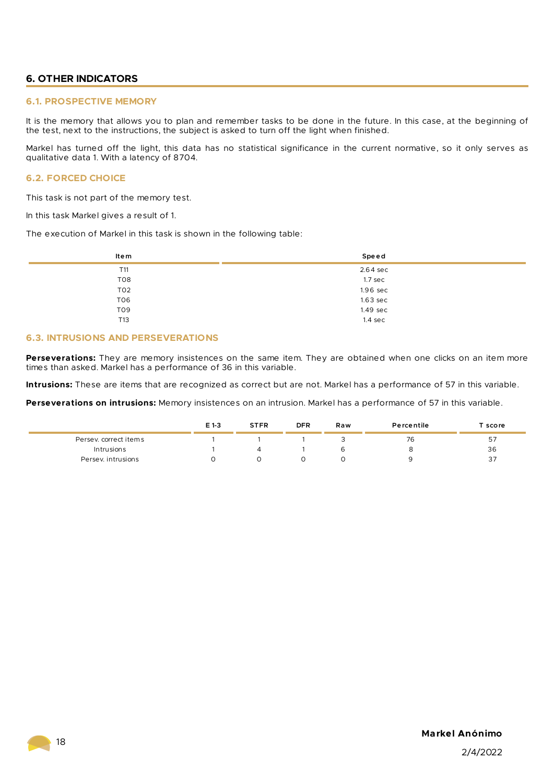# **6. OTHER INDICATORS**

#### **6.1. PROSPECTIVE MEMORY**

It is the memory that allows you to plan and remember tasks to be done in the future. In this case, at the beginning of the test, next to the instructions, the subject is asked to turn off the light when finished.

Markel has turned off the light, this data has no statistical significance in the current normative, so it only serves as qualitative data 1. With a latency of 8704.

# **6.2. FORCED CHOICE**

This task is not part of the memory test.

In this task Markel gives a result of 1.

The execution of Markel in this task is shown in the following table:

| Item            | Speed              |
|-----------------|--------------------|
| T11             | 2.64 sec           |
| TO <sub>8</sub> | 1.7 <sub>sec</sub> |
| TO <sub>2</sub> | $1.96$ sec         |
| TO <sub>6</sub> | $1.63$ sec         |
| T09             | 1.49 sec           |
| T13             | $1.4 \text{ sec}$  |

#### **6.3. INTRUSIONS AND PERSEVERATIONS**

**Perseverations:** They are memory insistences on the same item. They are obtained when one clicks on an item more times than asked. Markel has a performance of 36 in this variable.

**Intrusions:** These are items that are recognized as correct but are not. Markel has a performance of 57 in this variable.

**Perseverations on intrusions:** Memory insistences on an intrusion. Markel has a performance of 57 in this variable.

|                       | E 1-3 | <b>STFR</b> | <b>DFR</b> | Raw | Percentile | <b>Score</b> |
|-----------------------|-------|-------------|------------|-----|------------|--------------|
| Persev. correct items |       |             |            |     | 76         | 57           |
| Intrusions            |       |             |            |     |            | 36           |
| Persey, intrusions    |       |             |            |     |            | 37           |